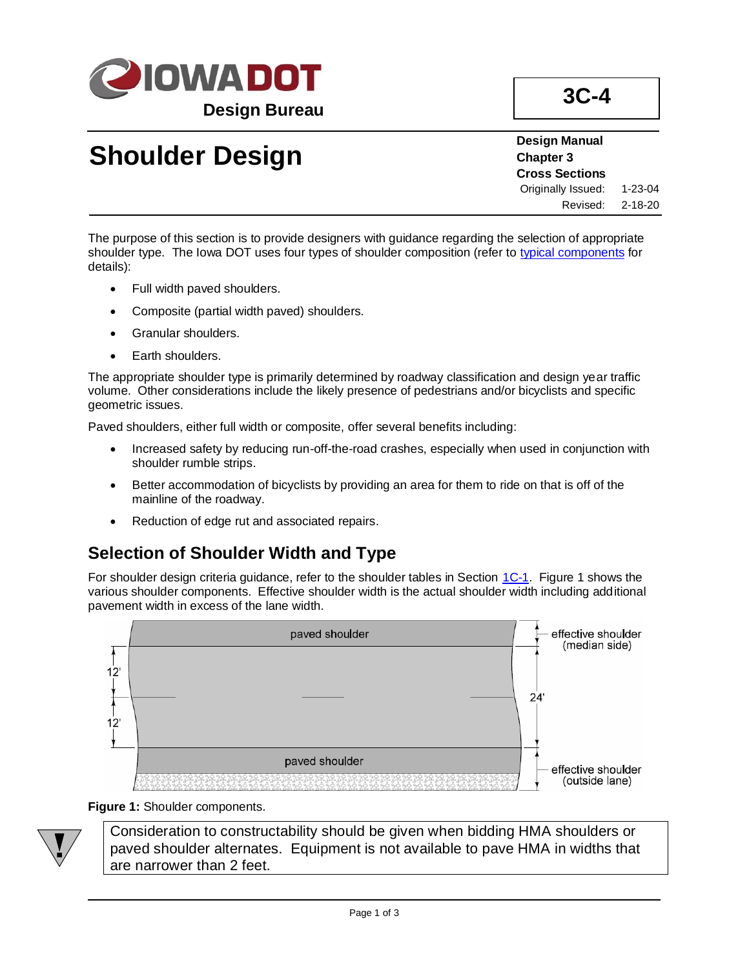

# **Shoulder Design**

**Design Manual Chapter 3 Cross Sections** Originally Issued: 1-23-04 Revised: 2-18-20

The purpose of this section is to provide designers with guidance regarding the selection of appropriate shoulder type. The Iowa DOT uses four types of shoulder composition (refer to [typical components](../TypicalComponents) for details):

- Full width paved shoulders.
- Composite (partial width paved) shoulders.
- Granular shoulders.
- Earth shoulders.

The appropriate shoulder type is primarily determined by roadway classification and design year traffic volume. Other considerations include the likely presence of pedestrians and/or bicyclists and specific geometric issues.

Paved shoulders, either full width or composite, offer several benefits including:

- Increased safety by reducing run-off-the-road crashes, especially when used in conjunction with shoulder rumble strips.
- Better accommodation of bicyclists by providing an area for them to ride on that is off of the mainline of the roadway.
- Reduction of edge rut and associated repairs.

## **Selection of Shoulder Width and Type**

For shoulder design criteria guidance, refer to the shoulder tables in Section [1C-1.](01c-01.pdf) Figure 1 shows the various shoulder components. Effective shoulder width is the actual shoulder width including additional pavement width in excess of the lane width.



#### **Figure 1:** Shoulder components.

Consideration to constructability should be given when bidding HMA shoulders or paved shoulder alternates. Equipment is not available to pave HMA in widths that are narrower than 2 feet.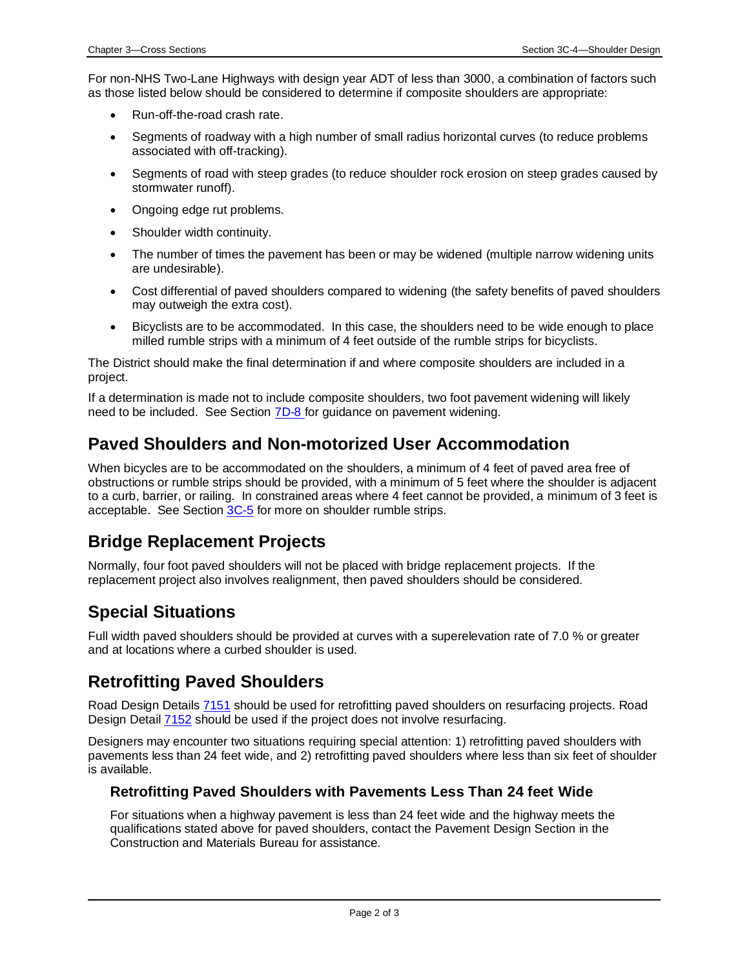For non-NHS Two-Lane Highways with design year ADT of less than 3000, a combination of factors such as those listed below should be considered to determine if composite shoulders are appropriate:

- Run-off-the-road crash rate.
- Segments of roadway with a high number of small radius horizontal curves (to reduce problems associated with off-tracking).
- Segments of road with steep grades (to reduce shoulder rock erosion on steep grades caused by stormwater runoff).
- Ongoing edge rut problems.
- Shoulder width continuity.
- The number of times the pavement has been or may be widened (multiple narrow widening units are undesirable).
- Cost differential of paved shoulders compared to widening (the safety benefits of paved shoulders may outweigh the extra cost).
- Bicyclists are to be accommodated. In this case, the shoulders need to be wide enough to place milled rumble strips with a minimum of 4 feet outside of the rumble strips for bicyclists.

The District should make the final determination if and where composite shoulders are included in a project.

If a determination is made not to include composite shoulders, two foot pavement widening will likely need to be included. See Section [7D-8](07d-08.pdf) for guidance on pavement widening.

## **Paved Shoulders and Non-motorized User Accommodation**

When bicycles are to be accommodated on the shoulders, a minimum of 4 feet of paved area free of obstructions or rumble strips should be provided, with a minimum of 5 feet where the shoulder is adjacent to a curb, barrier, or railing. In constrained areas where 4 feet cannot be provided, a minimum of 3 feet is acceptable. See Section [3C-5](03C-05.pdf) for more on shoulder rumble strips.

### **Bridge Replacement Projects**

Normally, four foot paved shoulders will not be placed with bridge replacement projects. If the replacement project also involves realignment, then paved shoulders should be considered.

## **Special Situations**

Full width paved shoulders should be provided at curves with a superelevation rate of 7.0 % or greater and at locations where a curbed shoulder is used.

## **Retrofitting Paved Shoulders**

Road Design Details [7151](../tnt/PDFsandWebFiles/IndividualPDFs/7151.PDF) should be used for retrofitting paved shoulders on resurfacing projects. Road Design Detail [7152](../tnt/PDFsandWebFiles/IndividualPDFs/7152.PDF) should be used if the project does not involve resurfacing.

Designers may encounter two situations requiring special attention: 1) retrofitting paved shoulders with pavements less than 24 feet wide, and 2) retrofitting paved shoulders where less than six feet of shoulder is available.

#### **Retrofitting Paved Shoulders with Pavements Less Than 24 feet Wide**

For situations when a highway pavement is less than 24 feet wide and the highway meets the qualifications stated above for paved shoulders, contact the Pavement Design Section in the Construction and Materials Bureau for assistance.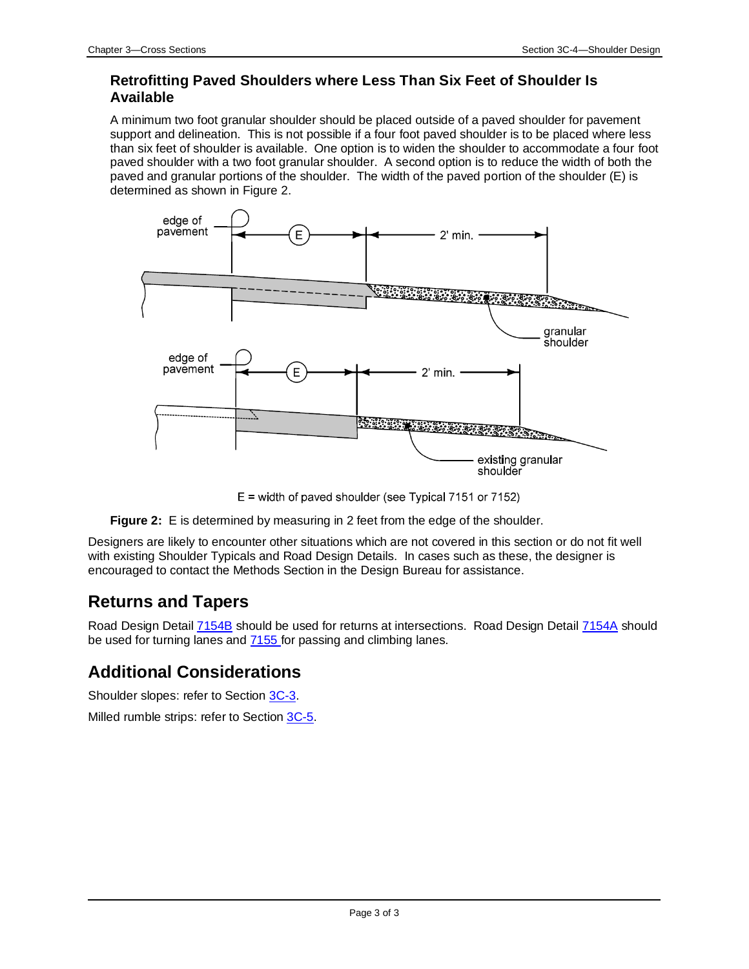#### **Retrofitting Paved Shoulders where Less Than Six Feet of Shoulder Is Available**

A minimum two foot granular shoulder should be placed outside of a paved shoulder for pavement support and delineation. This is not possible if a four foot paved shoulder is to be placed where less than six feet of shoulder is available. One option is to widen the shoulder to accommodate a four foot paved shoulder with a two foot granular shoulder. A second option is to reduce the width of both the paved and granular portions of the shoulder. The width of the paved portion of the shoulder (E) is determined as shown in Figure 2.



 $E =$  width of paved shoulder (see Typical 7151 or 7152)



Designers are likely to encounter other situations which are not covered in this section or do not fit well with existing Shoulder Typicals and Road Design Details. In cases such as these, the designer is encouraged to contact the Methods Section in the Design Bureau for assistance.

## **Returns and Tapers**

Road Design Detail [7154B](../tnt/PDFsandWebFiles/IndividualPDFs/7154B.pdf) should be used for returns at intersections. Road Design Detail [7154A](../tnt/PDFsandWebFiles/IndividualPDFs/7154A.pdf) should be used for turning lanes and  $\frac{7155}{100}$  for passing and climbing lanes.

## **Additional Considerations**

Shoulder slopes: refer to Section [3C-3.](03c-03.pdf)

Milled rumble strips: refer to Section [3C-5.](03c-05.pdf)